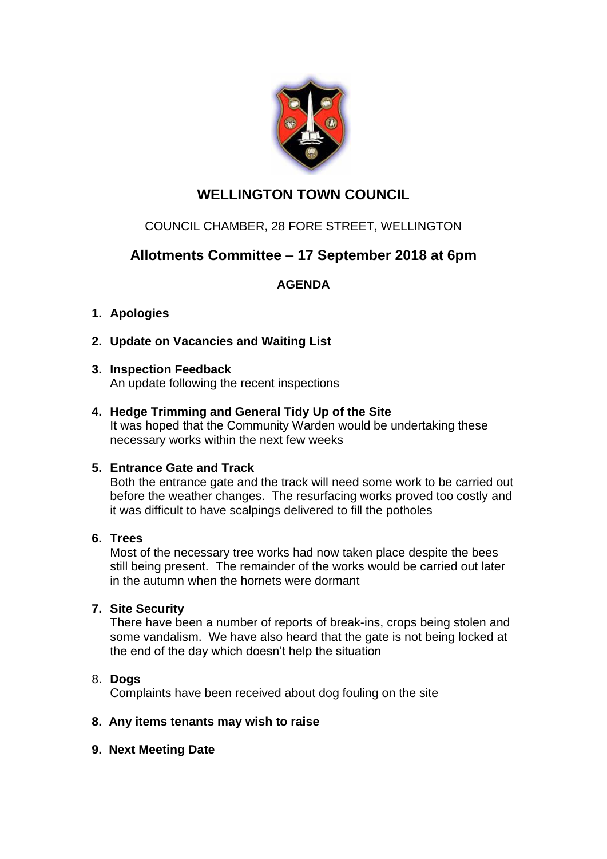

# **WELLINGTON TOWN COUNCIL**

## COUNCIL CHAMBER, 28 FORE STREET, WELLINGTON

# **Allotments Committee – 17 September 2018 at 6pm**

## **AGENDA**

## **1. Apologies**

- **2. Update on Vacancies and Waiting List**
- **3. Inspection Feedback** An update following the recent inspections
- **4. Hedge Trimming and General Tidy Up of the Site** It was hoped that the Community Warden would be undertaking these necessary works within the next few weeks

## **5. Entrance Gate and Track**

Both the entrance gate and the track will need some work to be carried out before the weather changes. The resurfacing works proved too costly and it was difficult to have scalpings delivered to fill the potholes

#### **6. Trees**

Most of the necessary tree works had now taken place despite the bees still being present. The remainder of the works would be carried out later in the autumn when the hornets were dormant

## **7. Site Security**

There have been a number of reports of break-ins, crops being stolen and some vandalism. We have also heard that the gate is not being locked at the end of the day which doesn't help the situation

## 8. **Dogs**

Complaints have been received about dog fouling on the site

#### **8. Any items tenants may wish to raise**

#### **9. Next Meeting Date**